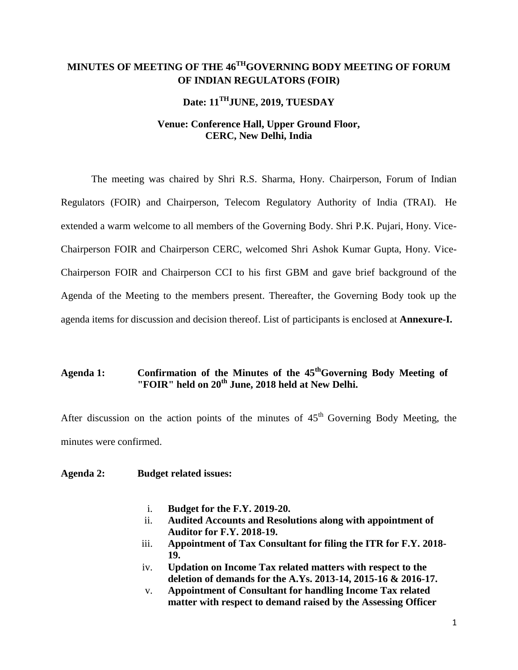# **MINUTES OF MEETING OF THE 46THGOVERNING BODY MEETING OF FORUM OF INDIAN REGULATORS (FOIR)**

# **Date: 11THJUNE, 2019, TUESDAY**

## **Venue: Conference Hall, Upper Ground Floor, CERC, New Delhi, India**

The meeting was chaired by Shri R.S. Sharma, Hony. Chairperson, Forum of Indian Regulators (FOIR) and Chairperson, Telecom Regulatory Authority of India (TRAI). He extended a warm welcome to all members of the Governing Body. Shri P.K. Pujari, Hony. Vice-Chairperson FOIR and Chairperson CERC, welcomed Shri Ashok Kumar Gupta, Hony. Vice-Chairperson FOIR and Chairperson CCI to his first GBM and gave brief background of the Agenda of the Meeting to the members present. Thereafter, the Governing Body took up the agenda items for discussion and decision thereof. List of participants is enclosed at **Annexure-I.**

## **Agenda 1: Confirmation of the Minutes of the 45thGoverning Body Meeting of "FOIR" held on 20th June, 2018 held at New Delhi.**

After discussion on the action points of the minutes of  $45<sup>th</sup>$  Governing Body Meeting, the minutes were confirmed.

### **Agenda 2: Budget related issues:**

- i. **Budget for the F.Y. 2019-20.**
- ii. **Audited Accounts and Resolutions along with appointment of Auditor for F.Y. 2018-19.**
- iii. **Appointment of Tax Consultant for filing the ITR for F.Y. 2018- 19.**
- iv. **Updation on Income Tax related matters with respect to the deletion of demands for the A.Ys. 2013-14, 2015-16 & 2016-17.**
- v. **Appointment of Consultant for handling Income Tax related matter with respect to demand raised by the Assessing Officer**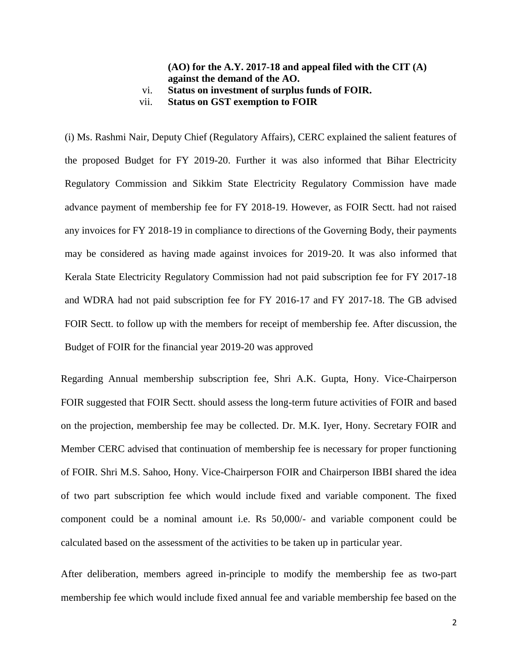### **(AO) for the A.Y. 2017-18 and appeal filed with the CIT (A) against the demand of the AO.** vi. **Status on investment of surplus funds of FOIR.**

vii. **Status on GST exemption to FOIR**

(i) Ms. Rashmi Nair, Deputy Chief (Regulatory Affairs), CERC explained the salient features of the proposed Budget for FY 2019-20. Further it was also informed that Bihar Electricity Regulatory Commission and Sikkim State Electricity Regulatory Commission have made advance payment of membership fee for FY 2018-19. However, as FOIR Sectt. had not raised any invoices for FY 2018-19 in compliance to directions of the Governing Body, their payments may be considered as having made against invoices for 2019-20. It was also informed that Kerala State Electricity Regulatory Commission had not paid subscription fee for FY 2017-18 and WDRA had not paid subscription fee for FY 2016-17 and FY 2017-18. The GB advised FOIR Sectt. to follow up with the members for receipt of membership fee. After discussion, the Budget of FOIR for the financial year 2019-20 was approved

Regarding Annual membership subscription fee, Shri A.K. Gupta, Hony. Vice-Chairperson FOIR suggested that FOIR Sectt. should assess the long-term future activities of FOIR and based on the projection, membership fee may be collected. Dr. M.K. Iyer, Hony. Secretary FOIR and Member CERC advised that continuation of membership fee is necessary for proper functioning of FOIR. Shri M.S. Sahoo, Hony. Vice-Chairperson FOIR and Chairperson IBBI shared the idea of two part subscription fee which would include fixed and variable component. The fixed component could be a nominal amount i.e. Rs 50,000/- and variable component could be calculated based on the assessment of the activities to be taken up in particular year.

After deliberation, members agreed in-principle to modify the membership fee as two-part membership fee which would include fixed annual fee and variable membership fee based on the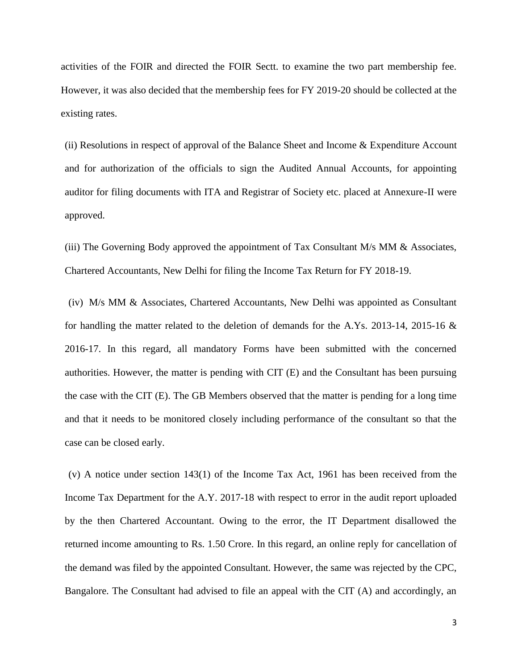activities of the FOIR and directed the FOIR Sectt. to examine the two part membership fee. However, it was also decided that the membership fees for FY 2019-20 should be collected at the existing rates.

(ii) Resolutions in respect of approval of the Balance Sheet and Income & Expenditure Account and for authorization of the officials to sign the Audited Annual Accounts, for appointing auditor for filing documents with ITA and Registrar of Society etc. placed at Annexure-II were approved.

(iii) The Governing Body approved the appointment of Tax Consultant  $M/s$  MM  $\&$  Associates, Chartered Accountants, New Delhi for filing the Income Tax Return for FY 2018-19.

(iv) M/s MM & Associates, Chartered Accountants, New Delhi was appointed as Consultant for handling the matter related to the deletion of demands for the A.Ys. 2013-14, 2015-16 & 2016-17. In this regard, all mandatory Forms have been submitted with the concerned authorities. However, the matter is pending with CIT (E) and the Consultant has been pursuing the case with the CIT (E). The GB Members observed that the matter is pending for a long time and that it needs to be monitored closely including performance of the consultant so that the case can be closed early.

(v) A notice under section 143(1) of the Income Tax Act, 1961 has been received from the Income Tax Department for the A.Y. 2017-18 with respect to error in the audit report uploaded by the then Chartered Accountant. Owing to the error, the IT Department disallowed the returned income amounting to Rs. 1.50 Crore. In this regard, an online reply for cancellation of the demand was filed by the appointed Consultant. However, the same was rejected by the CPC, Bangalore. The Consultant had advised to file an appeal with the CIT (A) and accordingly, an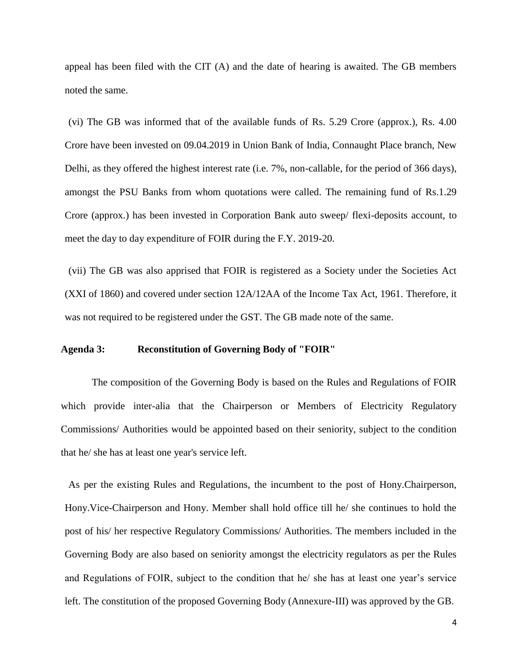appeal has been filed with the CIT (A) and the date of hearing is awaited. The GB members noted the same.

(vi) The GB was informed that of the available funds of Rs. 5.29 Crore (approx.), Rs. 4.00 Crore have been invested on 09.04.2019 in Union Bank of India, Connaught Place branch, New Delhi, as they offered the highest interest rate (i.e. 7%, non-callable, for the period of 366 days), amongst the PSU Banks from whom quotations were called. The remaining fund of Rs.1.29 Crore (approx.) has been invested in Corporation Bank auto sweep/ flexi-deposits account, to meet the day to day expenditure of FOIR during the F.Y. 2019-20.

(vii) The GB was also apprised that FOIR is registered as a Society under the Societies Act (XXI of 1860) and covered under section 12A/12AA of the Income Tax Act, 1961. Therefore, it was not required to be registered under the GST. The GB made note of the same.

### **Agenda 3: Reconstitution of Governing Body of "FOIR"**

 The composition of the Governing Body is based on the Rules and Regulations of FOIR which provide inter-alia that the Chairperson or Members of Electricity Regulatory Commissions/ Authorities would be appointed based on their seniority, subject to the condition that he/ she has at least one year's service left.

As per the existing Rules and Regulations, the incumbent to the post of Hony.Chairperson, Hony.Vice-Chairperson and Hony. Member shall hold office till he/ she continues to hold the post of his/ her respective Regulatory Commissions/ Authorities. The members included in the Governing Body are also based on seniority amongst the electricity regulators as per the Rules and Regulations of FOIR, subject to the condition that he/ she has at least one year's service left. The constitution of the proposed Governing Body (Annexure-III) was approved by the GB.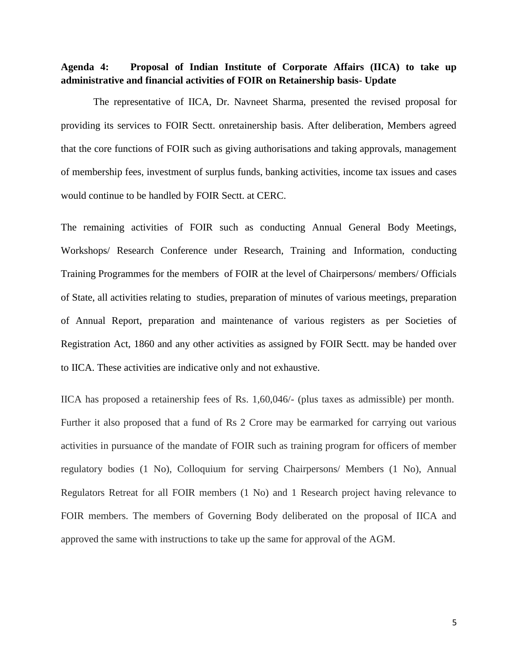## **Agenda 4: Proposal of Indian Institute of Corporate Affairs (IICA) to take up administrative and financial activities of FOIR on Retainership basis- Update**

 The representative of IICA, Dr. Navneet Sharma, presented the revised proposal for providing its services to FOIR Sectt. onretainership basis. After deliberation, Members agreed that the core functions of FOIR such as giving authorisations and taking approvals, management of membership fees, investment of surplus funds, banking activities, income tax issues and cases would continue to be handled by FOIR Sectt. at CERC.

The remaining activities of FOIR such as conducting Annual General Body Meetings, Workshops/ Research Conference under Research, Training and Information, conducting Training Programmes for the members of FOIR at the level of Chairpersons/ members/ Officials of State, all activities relating to studies, preparation of minutes of various meetings, preparation of Annual Report, preparation and maintenance of various registers as per Societies of Registration Act, 1860 and any other activities as assigned by FOIR Sectt. may be handed over to IICA. These activities are indicative only and not exhaustive.

IICA has proposed a retainership fees of Rs. 1,60,046/- (plus taxes as admissible) per month. Further it also proposed that a fund of Rs 2 Crore may be earmarked for carrying out various activities in pursuance of the mandate of FOIR such as training program for officers of member regulatory bodies (1 No), Colloquium for serving Chairpersons/ Members (1 No), Annual Regulators Retreat for all FOIR members (1 No) and 1 Research project having relevance to FOIR members. The members of Governing Body deliberated on the proposal of IICA and approved the same with instructions to take up the same for approval of the AGM.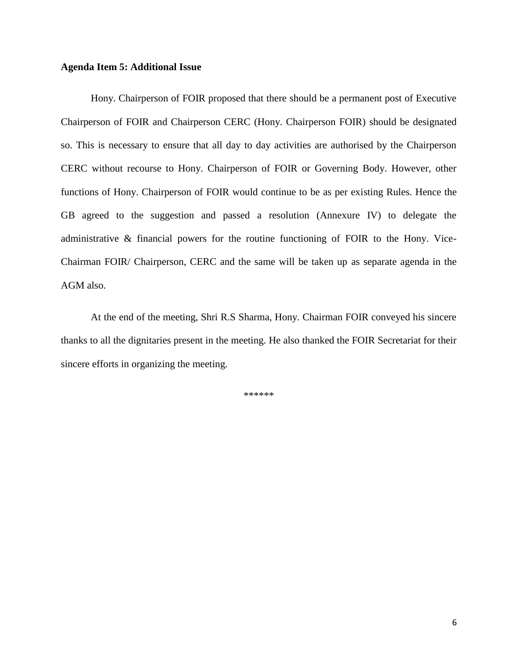### **Agenda Item 5: Additional Issue**

Hony. Chairperson of FOIR proposed that there should be a permanent post of Executive Chairperson of FOIR and Chairperson CERC (Hony. Chairperson FOIR) should be designated so. This is necessary to ensure that all day to day activities are authorised by the Chairperson CERC without recourse to Hony. Chairperson of FOIR or Governing Body. However, other functions of Hony. Chairperson of FOIR would continue to be as per existing Rules. Hence the GB agreed to the suggestion and passed a resolution (Annexure IV) to delegate the administrative & financial powers for the routine functioning of FOIR to the Hony. Vice-Chairman FOIR/ Chairperson, CERC and the same will be taken up as separate agenda in the AGM also.

At the end of the meeting, Shri R.S Sharma, Hony. Chairman FOIR conveyed his sincere thanks to all the dignitaries present in the meeting. He also thanked the FOIR Secretariat for their sincere efforts in organizing the meeting.

\*\*\*\*\*\*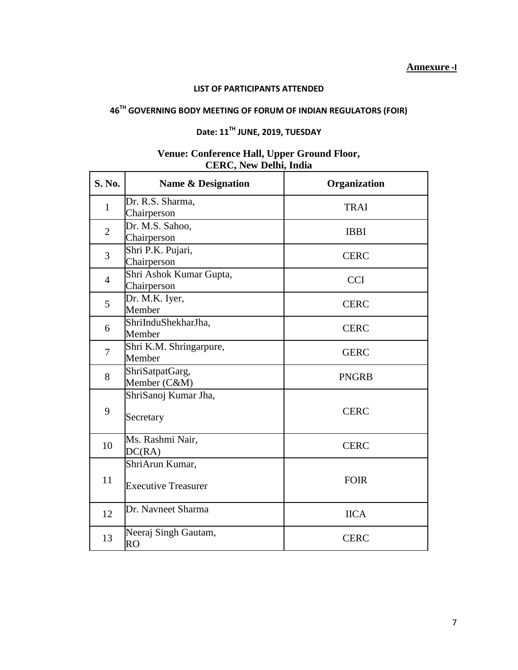### **LIST OF PARTICIPANTS ATTENDED**

# **46TH GOVERNING BODY MEETING OF FORUM OF INDIAN REGULATORS (FOIR)**

# **Date: 11TH JUNE, 2019, TUESDAY**

### **Venue: Conference Hall, Upper Ground Floor, CERC, New Delhi, India**

| <b>S. No.</b>  | <b>Name &amp; Designation</b>                 | Organization |
|----------------|-----------------------------------------------|--------------|
| $\mathbf{1}$   | Dr. R.S. Sharma,<br>Chairperson               | <b>TRAI</b>  |
| $\overline{2}$ | Dr. M.S. Sahoo,<br>Chairperson                | <b>IBBI</b>  |
| 3              | Shri P.K. Pujari,<br>Chairperson              | <b>CERC</b>  |
| $\overline{4}$ | Shri Ashok Kumar Gupta,<br>Chairperson        | <b>CCI</b>   |
| 5              | Dr. M.K. Iyer,<br>Member                      | <b>CERC</b>  |
| 6              | ShriInduShekharJha,<br>Member                 | <b>CERC</b>  |
| 7              | Shri K.M. Shringarpure,<br>Member             | <b>GERC</b>  |
| 8              | ShriSatpatGarg,<br>Member (C&M)               | <b>PNGRB</b> |
| 9              | ShriSanoj Kumar Jha,<br>Secretary             | <b>CERC</b>  |
| 10             | Ms. Rashmi Nair,<br>DC(RA)                    | <b>CERC</b>  |
| 11             | ShriArun Kumar,<br><b>Executive Treasurer</b> | <b>FOIR</b>  |
| 12             | Dr. Navneet Sharma                            | <b>IICA</b>  |
| 13             | Neeraj Singh Gautam,<br>RO                    | <b>CERC</b>  |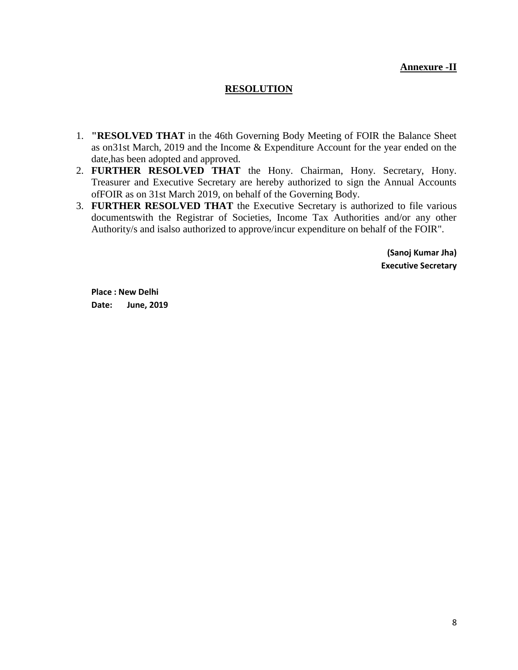## **Annexure -II**

## **RESOLUTION**

- 1. **"RESOLVED THAT** in the 46th Governing Body Meeting of FOIR the Balance Sheet as on31st March, 2019 and the Income & Expenditure Account for the year ended on the date,has been adopted and approved.
- 2. **FURTHER RESOLVED THAT** the Hony. Chairman, Hony. Secretary, Hony. Treasurer and Executive Secretary are hereby authorized to sign the Annual Accounts ofFOIR as on 31st March 2019, on behalf of the Governing Body.
- 3. **FURTHER RESOLVED THAT** the Executive Secretary is authorized to file various documentswith the Registrar of Societies, Income Tax Authorities and/or any other Authority/s and isalso authorized to approve/incur expenditure on behalf of the FOIR".

**(Sanoj Kumar Jha) Executive Secretary**

**Place : New Delhi Date: June, 2019**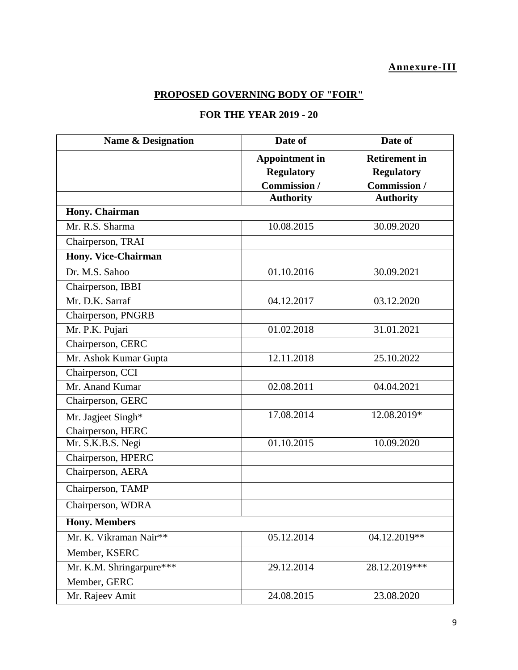## **Annexure-III**

## **PROPOSED GOVERNING BODY OF "FOIR"**

# **FOR THE YEAR 2019 - 20**

| <b>Name &amp; Designation</b> | Date of               | Date of              |  |  |  |
|-------------------------------|-----------------------|----------------------|--|--|--|
|                               | <b>Appointment in</b> | <b>Retirement in</b> |  |  |  |
|                               | <b>Regulatory</b>     | <b>Regulatory</b>    |  |  |  |
|                               | Commission /          | Commission /         |  |  |  |
|                               | <b>Authority</b>      | <b>Authority</b>     |  |  |  |
| Hony. Chairman                |                       |                      |  |  |  |
| Mr. R.S. Sharma               | 10.08.2015            | 30.09.2020           |  |  |  |
| Chairperson, TRAI             |                       |                      |  |  |  |
| Hony. Vice-Chairman           |                       |                      |  |  |  |
| Dr. M.S. Sahoo                | 01.10.2016            | 30.09.2021           |  |  |  |
| Chairperson, IBBI             |                       |                      |  |  |  |
| Mr. D.K. Sarraf               | 04.12.2017            | 03.12.2020           |  |  |  |
| Chairperson, PNGRB            |                       |                      |  |  |  |
| Mr. P.K. Pujari               | 01.02.2018            | 31.01.2021           |  |  |  |
| Chairperson, CERC             |                       |                      |  |  |  |
| Mr. Ashok Kumar Gupta         | 12.11.2018            | 25.10.2022           |  |  |  |
| Chairperson, CCI              |                       |                      |  |  |  |
| Mr. Anand Kumar               | 02.08.2011            | 04.04.2021           |  |  |  |
| Chairperson, GERC             |                       |                      |  |  |  |
| Mr. Jagjeet Singh*            | 17.08.2014            | 12.08.2019*          |  |  |  |
| Chairperson, HERC             |                       |                      |  |  |  |
| Mr. S.K.B.S. Negi             | 01.10.2015            | 10.09.2020           |  |  |  |
| Chairperson, HPERC            |                       |                      |  |  |  |
| Chairperson, AERA             |                       |                      |  |  |  |
| Chairperson, TAMP             |                       |                      |  |  |  |
| Chairperson, WDRA             |                       |                      |  |  |  |
| <b>Hony. Members</b>          |                       |                      |  |  |  |
| Mr. K. Vikraman Nair**        | 05.12.2014            | 04.12.2019**         |  |  |  |
| Member, KSERC                 |                       |                      |  |  |  |
| Mr. K.M. Shringarpure***      | 29.12.2014            | 28.12.2019 ***       |  |  |  |
| Member, GERC                  |                       |                      |  |  |  |
| Mr. Rajeev Amit               | 24.08.2015            | 23.08.2020           |  |  |  |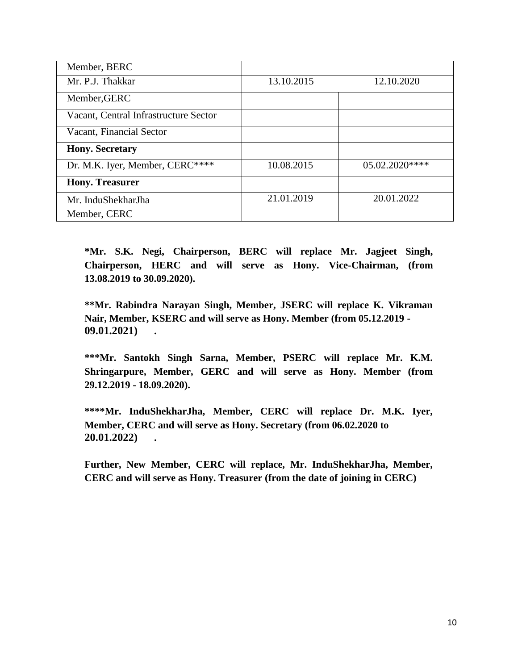| Member, BERC                          |            |            |
|---------------------------------------|------------|------------|
| Mr. P.J. Thakkar                      | 13.10.2015 | 12.10.2020 |
| Member, GERC                          |            |            |
| Vacant, Central Infrastructure Sector |            |            |
| Vacant, Financial Sector              |            |            |
| <b>Hony. Secretary</b>                |            |            |
| Dr. M.K. Iyer, Member, CERC****       | 10.08.2015 | 05.02.2020 |
| <b>Hony. Treasurer</b>                |            |            |
| Mr. InduShekharJha                    | 21.01.2019 | 20.01.2022 |
| Member, CERC                          |            |            |

**\*Mr. S.K. Negi, Chairperson, BERC will replace Mr. Jagjeet Singh, Chairperson, HERC and will serve as Hony. Vice-Chairman, (from 13.08.2019 to 30.09.2020).**

**\*\*Mr. Rabindra Narayan Singh, Member, JSERC will replace K. Vikraman Nair, Member, KSERC and will serve as Hony. Member (from 05.12.2019 - 09.01.2021) .**

**\*\*\*Mr. Santokh Singh Sarna, Member, PSERC will replace Mr. K.M. Shringarpure, Member, GERC and will serve as Hony. Member (from 29.12.2019 - 18.09.2020).**

**\*\*\*\*Mr. InduShekharJha, Member, CERC will replace Dr. M.K. Iyer, Member, CERC and will serve as Hony. Secretary (from 06.02.2020 to 20.01.2022) .**

**Further, New Member, CERC will replace, Mr. InduShekharJha, Member, CERC and will serve as Hony. Treasurer (from the date of joining in CERC)**